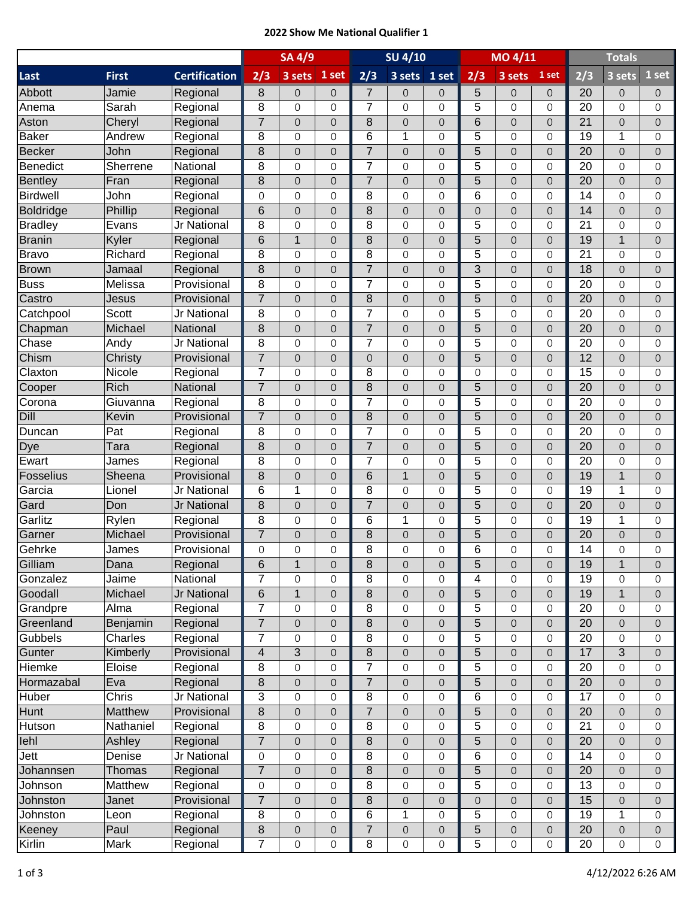## **2022 Show Me National Qualifier 1**

|                  |                 |                      | <b>SA 4/9</b>   |                     |                     | <b>SU 4/10</b> |                          |                     | MO 4/11             |                     |                     | <b>Totals</b>   |                     |                |
|------------------|-----------------|----------------------|-----------------|---------------------|---------------------|----------------|--------------------------|---------------------|---------------------|---------------------|---------------------|-----------------|---------------------|----------------|
| Last             | <b>First</b>    | <b>Certification</b> | 2/3             | 3 sets              | 1 set               | 2/3            | 3 sets                   | $1$ set             | 2/3                 | 3 sets              | 1 set               | 2/3             | 3 sets              | 1 set          |
| Abbott           | Jamie           | Regional             | 8               | $\mathbf 0$         | $\mathbf{O}$        | $\overline{7}$ | 0                        | $\mathbf{0}$        | 5                   | $\mathbf 0$         | $\overline{O}$      | 20              | $\overline{O}$      | $\overline{0}$ |
| Anema            | Sarah           | Regional             | 8               | $\Omega$            | $\overline{0}$      | $\overline{7}$ | 0                        | $\mathbf{O}$        | 5                   | $\Omega$            | $\Omega$            | $\overline{20}$ | $\Omega$            | $\Omega$       |
| Aston            | Cheryl          | Regional             | $\overline{7}$  | $\overline{O}$      | $\overline{0}$      | 8              | $\mathsf{O}\xspace$      | $\overline{0}$      | 6                   | $\overline{O}$      | $\overline{O}$      | 21              | $\Omega$            | $\Omega$       |
| Baker            | Andrew          | Regional             | 8               | 0                   | $\overline{0}$      | 6              | 1                        | $\mathbf{O}$        | 5                   | $\mathbf 0$         | $\overline{0}$      | 19              | 1                   | $\Omega$       |
| <b>Becker</b>    | John            | Regional             | 8               | $\overline{0}$      | $\overline{0}$      | $\overline{7}$ | $\overline{0}$           | $\overline{0}$      | 5                   | $\overline{0}$      | $\overline{0}$      | 20              | $\Omega$            | $\Omega$       |
| Benedict         | Sherrene        | National             | 8               | 0                   | $\overline{0}$      | $\overline{7}$ | 0                        | $\mathbf{0}$        | 5                   | $\mathbf 0$         | $\overline{0}$      | 20              | $\Omega$            | $\Omega$       |
| <b>Bentley</b>   | Fran            | Regional             | 8               | $\overline{0}$      | $\overline{0}$      | $\overline{7}$ | $\mathsf{O}\xspace$      | $\mathsf{O}$        | 5                   | $\overline{O}$      | $\overline{0}$      | 20              | $\overline{O}$      | $\overline{O}$ |
| Birdwell         | John            | Regional             | $\Omega$        | 0                   | $\overline{0}$      | 8              | 0                        | $\overline{0}$      | 6                   | $\overline{0}$      | $\overline{0}$      | $\overline{14}$ | $\Omega$            | $\Omega$       |
| Boldridge        | Phillip         | Regional             | 6               | 0                   | $\overline{0}$      | 8              | 0                        | $\overline{0}$      | $\overline{O}$      | $\overline{0}$      | $\overline{0}$      | 14              | $\Omega$            | $\Omega$       |
| <b>Bradley</b>   | Evans           | Jr National          | 8               | 0                   | 0                   | 8              | 0                        | $\mathbf 0$         | 5                   | $\mathbf 0$         | $\overline{0}$      | 21              | $\mathbf 0$         | $\Omega$       |
| <b>Branin</b>    | Kyler           | Regional             | $6\phantom{1}6$ | 1                   | $\overline{0}$      | 8              | $\overline{0}$           | $\overline{0}$      | 5                   | $\overline{0}$      | $\overline{0}$      | 19              | $\overline{1}$      | $\Omega$       |
| Bravo            | Richard         | Regional             | 8               | 0                   | 0                   | 8              | 0                        | $\mathbf{O}$        | 5                   | $\overline{0}$      | $\mathbf 0$         | 21              | $\Omega$            | $\Omega$       |
| <b>Brown</b>     | Jamaal          | Regional             | 8               | $\overline{0}$      | $\mathsf{O}\xspace$ | $\overline{7}$ | $\mathbf 0$              | $\mathbf 0$         | 3                   | $\overline{O}$      | $\overline{0}$      | 18              | $\overline{O}$      | $\overline{O}$ |
| <b>Buss</b>      | Melissa         | Provisional          | 8               | 0                   | $\mathbf 0$         | $\overline{7}$ | $\mathbf 0$              | $\mathbf{O}$        | 5                   | $\mathbf 0$         | $\mathbf 0$         | 20              | $\Omega$            | $\Omega$       |
| Castro           | Jesus           | Provisional          | $\overline{7}$  | $\overline{O}$      | $\overline{0}$      | 8              | $\mathsf{O}\xspace$      | $\overline{0}$      | 5                   | $\overline{O}$      | $\overline{0}$      | 20              | $\Omega$            | $\Omega$       |
| Catchpool        | Scott           | Jr National          | 8               | 0                   | $\overline{0}$      | $\overline{7}$ | 0                        | $\mathbf{O}$        | 5                   | $\mathbf 0$         | $\overline{0}$      | 20              | $\Omega$            | $\Omega$       |
| Chapman          | Michael         | National             | 8               | $\overline{O}$      | $\overline{0}$      | $\overline{7}$ | $\mathsf{O}\xspace$      | $\mathbf 0$         | 5                   | $\overline{0}$      | $\overline{0}$      | 20              | $\Omega$            | 0              |
| Chase            | Andy            | Jr National          | 8               | $\Omega$            | 0                   | $\overline{7}$ | 0                        | $\mathbf 0$         | 5                   | $\overline{0}$      | $\mathbf 0$         | 20              | $\Omega$            | $\Omega$       |
| Chism            | Christy         | Provisional          | $\overline{7}$  | $\overline{0}$      | $\mathsf{O}\xspace$ | 0              | $\mathsf{O}\xspace$      | $\mathsf{O}$        | 5                   | $\overline{O}$      | $\overline{0}$      | 12              | $\overline{O}$      | $\overline{O}$ |
| Claxton          | Nicole          | Regional             | $\overline{7}$  | 0                   | $\overline{0}$      | 8              | 0                        | $\overline{0}$      | $\mathbf 0$         | $\mathbf 0$         | $\Omega$            | 15              | $\Omega$            | $\Omega$       |
| Cooper           | Rich            | National             | $\overline{7}$  | 0                   | $\overline{0}$      | 8              | 0                        | $\overline{0}$      | 5                   | $\overline{0}$      | $\overline{0}$      | 20              | $\Omega$            | $\overline{O}$ |
| Corona           | Giuvanna        | Regional             | 8               | 0                   | 0                   | 7              | 0                        | $\mathbf 0$         | 5                   | 0                   | $\overline{0}$      | 20              | $\Omega$            | 0              |
| Dill             | Kevin           | Provisional          | $\overline{7}$  | $\overline{0}$      | $\overline{0}$      | 8              | $\mathsf{O}\xspace$      | $\mathbf 0$         | 5                   | $\overline{0}$      | $\overline{0}$      | 20              | $\overline{0}$      | $\Omega$       |
| Duncan           | Pat             | Regional             | 8               | 0                   | 0                   | $\overline{7}$ | 0                        | $\mathbf 0$         | 5                   | $\overline{0}$      | $\mathbf 0$         | 20              | $\Omega$            | $\Omega$       |
|                  | Tara            | Regional             | 8               | $\mathsf{O}\xspace$ | $\mathsf{O}\xspace$ | $\overline{7}$ | $\mathsf{O}\xspace$      | $\mathsf{O}$        | 5                   | $\overline{O}$      | $\overline{0}$      | 20              | $\overline{O}$      | $\overline{O}$ |
| Dye<br>Ewart     |                 | Regional             | 8               | 0                   | $\mathbf 0$         | $\overline{7}$ | 0                        | $\mathbf{O}$        | 5                   | $\Omega$            | $\Omega$            | 20              | $\Omega$            | $\Omega$       |
| <b>Fosselius</b> | James<br>Sheena | Provisional          | 8               | $\overline{O}$      | $\overline{0}$      | 6              | $\mathbf{1}$             | $\overline{0}$      | 5                   | $\overline{O}$      | $\overline{0}$      | 19              | $\mathbf{1}$        | $\overline{O}$ |
| Garcia           |                 | Jr National          | 6               | 1                   | $\overline{0}$      | 8              | $\mathbf 0$              | $\mathbf{O}$        | 5                   | $\mathbf 0$         | $\overline{0}$      | 19              | 1                   | $\Omega$       |
| Gard             | Lionel          | <b>Jr National</b>   | 8               |                     |                     | $\overline{7}$ |                          |                     | 5                   |                     |                     | 20              |                     |                |
|                  | Don             |                      | 8               | $\Omega$            | $\overline{0}$      |                | $\mathsf{O}\xspace$<br>1 | $\mathbf 0$         | 5                   | $\overline{0}$      | $\overline{0}$      |                 | $\overline{0}$<br>1 | 0              |
| Garlitz          | Rylen           | Regional             | $\overline{7}$  | 0                   | $\overline{0}$      | 6              |                          | 0                   |                     | $\overline{0}$      | $\mathbf 0$         | 19              |                     | $\Omega$       |
| Garner           | Michael         | Provisional          |                 | $\mathsf{O}\xspace$ | $\mathsf{O}\xspace$ | $\bf 8$        | $\mathbf 0$              | $\mathsf{O}$        | 5                   | $\mathsf{O}\xspace$ | $\mathsf{O}\xspace$ | 20              | $\overline{O}$      | $\overline{O}$ |
| Gehrke           | James           | Provisional          | $\Omega$        | $\Omega$            | $\overline{O}$      | 8              | 0                        | $\mathbf 0$         | 6                   | $\Omega$            | $\overline{O}$      | 14              | $\Omega$            | $\Omega$       |
| Gilliam          | Dana            | Regional             | 6               | 1                   | $\mathbf 0$         | 8              | 0                        | $\boldsymbol{0}$    | 5                   | $\mathbf 0$         | 0                   | 19              | $\mathbf 1$         | $\overline{0}$ |
| Gonzalez         | Jaime           | National             | 7               | 0                   | $\mathbf{O}$        | 8              | 0                        | $\mathsf{O}\xspace$ | 4                   | $\Omega$            | $\Omega$            | 19              | $\Omega$            | $\Omega$       |
| Goodall          | Michael         | Jr National          | $\,$ 6 $\,$     | 1                   | $\overline{0}$      | $\bf 8$        | $\mathbf 0$              | $\mathsf{O}\xspace$ | 5                   | $\mathsf{O}\xspace$ | $\overline{0}$      | 19              | $\mathbf{1}$        | $\overline{O}$ |
| Grandpre         | Alma            | Regional             | $\overline{7}$  | 0                   | $\mathsf{O}\xspace$ | 8              | 0                        | 0                   | 5                   | 0                   | $\mathbf 0$         | 20              | 0                   | 0              |
| Greenland        | Benjamin        | Regional             | $\overline{7}$  | $\mathsf{O}\xspace$ | $\mathsf{O}\xspace$ | 8              | 0                        | $\mathbf{0}$        | 5                   | $\mathsf{O}\xspace$ | $\mathsf{O}\xspace$ | 20              | $\overline{O}$      | $\overline{O}$ |
| Gubbels          | Charles         | Regional             | $\overline{7}$  | 0                   | $\overline{0}$      | 8              | 0                        | $\mathsf{O}\xspace$ | 5                   | $\mathsf{O}\xspace$ | $\mathbf{O}$        | 20              | $\mathbf{O}$        | $\Omega$       |
| Gunter           | Kimberly        | Provisional          | $\overline{4}$  | 3                   | $\mathbf 0$         | 8              | 0                        | $\mathbf 0$         | 5                   | $\overline{O}$      | 0                   | 17              | 3                   | $\overline{0}$ |
| Hiemke           | Eloise          | Regional             | 8               | 0                   | 0                   | $\overline{7}$ | 0                        | $\mathsf{O}\xspace$ | 5                   | $\mathbf 0$         | $\mathbf{O}$        | 20              | $\mathbf{O}$        | 0              |
| Hormazabal       | Eva             | Regional             | $\bf 8$         | 0                   | $\mathsf{O}\xspace$ | $\overline{7}$ | 0                        | $\mathbf 0$         | 5                   | $\mathsf{O}\xspace$ | $\mathbf 0$         | 20              | $\overline{O}$      | $\overline{O}$ |
| Huber            | Chris           | Jr National          | 3               | 0                   | 0                   | 8              | 0                        | 0                   | 6                   | 0                   | $\mathbf 0$         | 17              | 0                   | 0              |
| Hunt             | Matthew         | Provisional          | $\bf 8$         | $\mathsf{O}\xspace$ | $\mathsf{O}\xspace$ | $\overline{7}$ | $\mathsf{O}\xspace$      | $\mathsf{O}\xspace$ | 5                   | $\mathsf{O}\xspace$ | $\mathsf{O}\xspace$ | 20              | $\overline{O}$      | $\overline{O}$ |
| Hutson           | Nathaniel       | Regional             | 8               | 0                   | $\overline{0}$      | 8              | 0                        | $\mathsf{O}\xspace$ | 5                   | $\mathsf{O}\xspace$ | $\mathbf{O}$        | 21              | $\Omega$            | $\Omega$       |
| lehl             | Ashley          | Regional             | $\overline{7}$  | 0                   | $\mathbf 0$         | 8              | $\mathsf O$              | $\mathbf{0}$        | 5                   | $\overline{O}$      | 0                   | 20              | $\overline{0}$      | $\overline{0}$ |
| Jett             | Denise          | Jr National          | $\mathbf{0}$    | 0                   | $\mathbf{O}$        | 8              | 0                        | $\mathbf{0}$        | 6                   | $\mathbf 0$         | $\mathbf{0}$        | 14              | $\mathbf 0$         | 0              |
| Johannsen        | <b>Thomas</b>   | Regional             | $\overline{7}$  | $\overline{0}$      | $\overline{0}$      | $\bf 8$        | $\mathsf O$              | $\mathsf{O}\xspace$ | 5                   | $\mathsf{O}\xspace$ | $\overline{O}$      | 20              | $\overline{0}$      | $\overline{0}$ |
| Johnson          | Matthew         | Regional             | $\mathbf{O}$    | 0                   | $\overline{0}$      | 8              | 0                        | 0                   | 5                   | 0                   | $\mathbf 0$         | 13              | 0                   | 0              |
| Johnston         | Janet           | Provisional          | $\overline{7}$  | $\mathsf{O}\xspace$ | $\mathsf{O}\xspace$ | $\bf 8$        | $\mathsf{O}\xspace$      | $\mathsf{O}\xspace$ | $\mathsf{O}\xspace$ | $\mathsf{O}\xspace$ | $\overline{0}$      | 15              | $\overline{O}$      | $\overline{O}$ |
| Johnston         | Leon            | Regional             | 8               | 0                   | $\overline{0}$      | 6              | 1                        | $\mathsf{O}\xspace$ | 5                   | $\mathsf{O}\xspace$ | $\mathbf{O}$        | 19              | 1                   | $\Omega$       |
| Keeney           | Paul            | Regional             | $\,8\,$         | 0                   | $\mathsf{O}\xspace$ | $\overline{7}$ | 0                        | $\overline{0}$      | 5                   | $\mathbf 0$         | 0                   | 20              | $\overline{O}$      | 0              |
| Kirlin           | Mark            | Regional             | $\overline{7}$  | 0                   | 0                   | $\,8\,$        | 0                        | $\mathsf{O}\xspace$ | 5                   | 0                   | $\mathbf 0$         | 20              | $\mathbf{O}$        | $\mathsf{O}$   |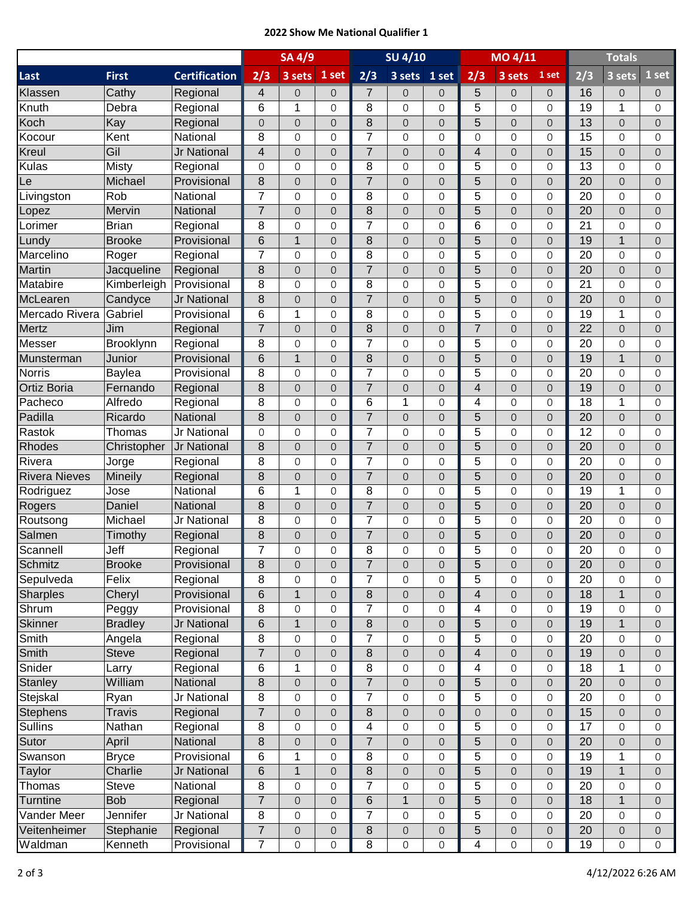## **2022 Show Me National Qualifier 1**

|                      |                |                      | <b>SU 4/10</b><br><b>SA 4/9</b> |                     |                     |                |                     | MO 4/11                  |                         | <b>Totals</b>            |                                            |                 |                  |                     |
|----------------------|----------------|----------------------|---------------------------------|---------------------|---------------------|----------------|---------------------|--------------------------|-------------------------|--------------------------|--------------------------------------------|-----------------|------------------|---------------------|
| Last                 | <b>First</b>   | <b>Certification</b> | 2/3                             | 3 sets              | 1 set               | 2/3            | 3 sets              | 1 set                    | 2/3                     | 3 sets                   | 1 set                                      | 2/3             | 3 sets           | 1 set               |
| Klassen              | Cathy          | Regional             | 4                               | $\overline{O}$      | $\mathbf 0$         | $\overline{7}$ | 0                   | $\mathbf 0$              | 5                       | 0                        | $\mathbf 0$                                | 16              | $\overline{O}$   | $\overline{0}$      |
| Knuth                | Debra          | Regional             | 6                               | 1                   | $\mathbf 0$         | 8              | 0                   | 0                        | 5                       | 0                        | $\overline{0}$                             | $\overline{19}$ | 1                | $\Omega$            |
| Koch                 | Kay            | Regional             | $\overline{0}$                  | $\Omega$            | $\overline{O}$      | 8              | 0                   | $\overline{0}$           | 5                       | $\overline{O}$           | $\overline{O}$                             | 13              | $\Omega$         | $\Omega$            |
| Kocour               | Kent           | National             | 8                               | $\mathbf 0$         | 0                   | $\overline{7}$ | 0                   | 0                        | $\mathsf{O}\xspace$     | 0                        | $\overline{0}$                             | 15              | $\Omega$         | $\Omega$            |
| Kreul                | Gil            | Jr National          | $\overline{\mathcal{L}}$        | $\Omega$            | $\overline{0}$      | $\overline{7}$ | $\overline{0}$      | $\overline{0}$           | $\overline{\mathbf{4}}$ | $\overline{0}$           | $\overline{0}$                             | 15              | $\overline{0}$   | $\Omega$            |
| Kulas                | <b>Misty</b>   | Regional             | $\Omega$                        | $\Omega$            | $\Omega$            | 8              | 0                   | 0                        | 5                       | 0                        | $\overline{0}$                             | 13              | 0                | $\Omega$            |
| Le                   | Michael        | Provisional          | 8                               | $\overline{O}$      | $\overline{0}$      | $\overline{7}$ | $\mathsf{O}\xspace$ | $\mathsf{O}$             | 5                       | $\overline{0}$           | $\overline{0}$                             | 20              | $\overline{0}$   | $\overline{O}$      |
| Livingston           | Rob            | National             | $\overline{7}$                  | $\Omega$            | 0                   | 8              | 0                   | 0                        | 5                       | 0                        | $\mathbf 0$                                | 20              | 0                | $\Omega$            |
| Lopez                | Mervin         | National             | $\overline{7}$                  | $\overline{O}$      | $\overline{O}$      | 8              | 0                   | $\overline{0}$           | 5                       | $\overline{O}$           | $\overline{O}$                             | 20              | $\overline{0}$   | $\overline{0}$      |
| Lorimer              | <b>Brian</b>   | Regional             | 8                               | $\overline{0}$      | 0                   | $\overline{7}$ | 0                   | 0                        | 6                       | 0                        | $\overline{0}$                             | 21              | $\overline{0}$   | $\mathbf{O}$        |
| Lundy                | <b>Brooke</b>  | Provisional          | 6                               | 1                   | $\overline{O}$      | 8              | $\mathsf{O}\xspace$ | $\overline{0}$           | 5                       | $\mathsf{O}\xspace$      | $\overline{0}$                             | 19              | 1                | $\overline{0}$      |
| Marcelino            | Roger          | Regional             | 7                               | $\Omega$            | 0                   | 8              | 0                   | 0                        | 5                       | 0                        | 0                                          | 20              | $\mathbf 0$      | $\Omega$            |
| Martin               | Jacqueline     | Regional             | 8                               | $\overline{O}$      | $\mathsf{O}\xspace$ | $\overline{7}$ | $\mathsf{O}\xspace$ | $\mathsf{O}$             | 5                       | $\overline{0}$           | $\mathsf{O}\xspace$                        | 20              | $\overline{0}$   | $\overline{O}$      |
| Matabire             | Kimberleigh    | Provisional          | 8                               | $\Omega$            | 0                   | 8              | 0                   | 0                        | 5                       | 0                        | $\mathbf 0$                                | 21              | 0                | $\Omega$            |
| McLearen             | Candyce        | Jr National          | 8                               | $\overline{O}$      | $\overline{O}$      | $\overline{7}$ | $\mathsf{O}\xspace$ | $\mathbf 0$              | 5                       | $\overline{O}$           | $\overline{O}$                             | 20              | $\overline{0}$   | $\overline{0}$      |
| Mercado Rivera       | Gabriel        | Provisional          | 6                               | 1                   | 0                   | 8              | 0                   | 0                        | 5                       | 0                        | $\overline{0}$                             | 19              | 1                | $\Omega$            |
| Mertz                | Jim            | Regional             | $\overline{7}$                  | $\Omega$            | $\Omega$            | 8              | $\mathbf 0$         | $\overline{0}$           | $\overline{7}$          | $\overline{0}$           | $\overline{0}$                             | 22              | $\Omega$         | $\Omega$            |
| Messer               | Brooklynn      | Regional             | 8                               | $\Omega$            | 0                   | 7              |                     | 0                        | 5                       | 0                        | 0                                          | 20              | 0                | $\Omega$            |
| Munsterman           | Junior         |                      | 6                               | 1                   |                     | 8              | 0                   |                          | 5                       |                          |                                            | 19              | $\mathbf{1}$     |                     |
|                      |                | Provisional          |                                 |                     | $\overline{0}$      |                | $\mathsf{O}\xspace$ | $\mathsf{O}$             |                         | $\overline{0}$           | $\overline{0}$                             |                 |                  | $\overline{O}$      |
| Norris               | Baylea         | Provisional          | 8                               | $\overline{0}$      | 0                   | $\overline{7}$ | 0                   | 0                        | 5                       | 0                        | $\overline{0}$                             | 20              | 0                | $\Omega$            |
| Ortiz Boria          | Fernando       | Regional             | 8                               | $\Omega$            | $\overline{O}$      | $\overline{7}$ | 0                   | $\overline{0}$           | 4                       | $\overline{O}$           | $\overline{O}$                             | 19              | $\overline{0}$   | $\overline{0}$      |
| Pacheco              | Alfredo        | Regional             | 8                               | $\overline{0}$      | 0                   | 6              | 1                   | 0                        | 4                       | 0                        | $\overline{0}$                             | 18              | 1                | $\mathbf 0$         |
| Padilla              | Ricardo        | National             | 8                               | $\Omega$            | $\overline{O}$      | $\overline{7}$ | $\mathbf 0$         | $\overline{0}$           | 5                       | $\overline{0}$           | $\overline{0}$                             | 20              | $\overline{0}$   | $\Omega$            |
| Rastok               | Thomas         | Jr National          | 0                               | $\Omega$            | 0                   | 7              | 0                   | 0                        | 5                       | 0                        | $\overline{0}$                             | 12              | 0                | $\Omega$            |
| <b>Rhodes</b>        | Christopher    | Jr National          | 8                               | $\overline{O}$      | $\mathsf{O}\xspace$ | $\overline{7}$ | $\mathsf{O}\xspace$ | $\mathsf{O}\xspace$      | 5                       | $\overline{0}$           | $\mathsf{O}\xspace$                        | 20              | $\overline{0}$   | $\overline{O}$      |
| Rivera               | Jorge          | Regional             | 8                               | $\overline{O}$      | 0                   | $\overline{7}$ | 0                   | 0                        | 5                       | 0                        | $\mathbf 0$                                | 20              | 0                | $\Omega$            |
| <b>Rivera Nieves</b> | Mineily        | Regional             | 8                               | $\overline{O}$      | $\overline{O}$      | $\overline{7}$ | $\mathsf{O}\xspace$ | $\mathsf{O}$             | 5                       | $\overline{O}$           | $\overline{0}$                             | 20              | $\overline{0}$   | $\Omega$            |
| Rodriguez            | Jose           | National             | 6                               | $\mathbf 1$         | $\mathbf 0$         | 8              | 0                   | 0                        | 5                       | 0                        | $\overline{0}$                             | 19              | 1                | $\Omega$            |
| Rogers               | Daniel         | National             | 8                               | $\Omega$            | $\overline{0}$      | $\overline{7}$ | $\mathsf{O}\xspace$ | $\overline{0}$           | 5                       | $\overline{0}$           | $\overline{0}$                             | 20              | $\overline{0}$   | $\Omega$            |
| Routsong             | Michael        | Jr National          | 8                               | $\Omega$            | 0                   | 7              | 0                   | 0                        | 5                       | 0                        | 0                                          | 20              | $\Omega$         | $\Omega$            |
| Salmen               | Timothy        | Regional             | 8                               | $\overline{O}$      | $\mathsf{O}\xspace$ | $\overline{7}$ | $\mathsf{O}\xspace$ | $\mathsf{O}\xspace$      | 5                       | $\mathsf{O}\xspace$      | $\mathsf{O}\xspace$                        | 20              | $\overline{0}$   | $\overline{O}$      |
| Scannell             | Jeff           | Regional             | 7                               | $\Omega$            | $\Omega$            | 8              | 0                   | $\Omega$                 | 5                       | 0                        | $\Omega$                                   | 20              | 0                | $\Omega$            |
| <b>Schmitz</b>       | <b>Brooke</b>  | Provisional          | 8                               | 0                   | $\mathbf 0$         | 7              | 0                   | $\mathsf{O}\xspace$      | 5                       | 0                        | $\mathbf 0$                                | 20              | 0                | 0                   |
| Sepulveda            | Felix          | Regional             | 8                               | $\mathbf 0$         | 0                   | $\overline{7}$ | 0                   | 0                        | 5                       | 0                        | $\mathsf{O}\xspace$                        | 20              | 0                | $\Omega$            |
| <b>Sharples</b>      | Cheryl         | Provisional          | 6                               | $\mathbf{1}$        | $\mathsf{O}\xspace$ | $\bf8$         | $\mathsf{O}\xspace$ | $\mathsf{O}\xspace$      | $\overline{\mathbf{4}}$ | $\mathsf{O}\xspace$      | $\mathsf{O}\xspace$                        | 18              | 1                | $\overline{0}$      |
| Shrum                | Peggy          | Provisional          | 8                               | $\overline{0}$      | 0                   | $\overline{7}$ | 0                   | 0                        | 4                       | 0                        | 0                                          | 19              | 0                | $\mathbf 0$         |
| <b>Skinner</b>       | <b>Bradley</b> | Jr National          | 6                               | $\mathbf{1}$        | $\mathsf{O}\xspace$ | $\bf 8$        | 0                   | $\mathsf{O}\xspace$      | 5                       | $\mathsf{O}\xspace$      | $\mathsf{O}\xspace$                        | 19              | $\mathbf{1}$     | $\overline{O}$      |
| Smith                | Angela         | Regional             | 8                               | $\overline{0}$      | 0                   | $\overline{7}$ | 0                   | 0                        | 5                       | 0                        | $\overline{0}$                             | 20              | 0                | $\mathbf 0$         |
| <b>Smith</b>         | <b>Steve</b>   | Regional             | $\overline{7}$                  | $\overline{O}$      | 0                   | 8              | 0                   | $\mathbf 0$              | $\overline{\mathbf{4}}$ | 0                        | $\mathbf 0$                                | 19              | 0                | $\mathbf{0}$        |
| Snider               | Larry          | Regional             | 6                               | 1                   | 0                   | 8              | 0                   | 0                        | 4                       | 0                        | 0                                          | 18              | 1                | $\mathbf 0$         |
| <b>Stanley</b>       | William        | National             | 8                               | $\mathbf 0$         | 0                   | $\overline{7}$ | $\mathsf O$         | $\mathbf 0$              | 5                       | $\mathsf{O}\xspace$      | $\mathsf{O}\xspace$                        | 20              | 0                | $\mathbf{0}$        |
| Stejskal             | Ryan           | Jr National          | 8                               | 0                   | 0                   | $\overline{7}$ | 0                   | 0                        | 5                       | 0                        | 0                                          | 20              | 0                | $\mathbf 0$         |
| <b>Stephens</b>      | <b>Travis</b>  | Regional             | $\overline{7}$                  | $\overline{O}$      | 0                   | $\bf 8$        | $\mathsf{O}\xspace$ | $\mathsf{O}\xspace$      | $\mathbf 0$             | $\mathsf{O}\xspace$      | $\mathsf{O}\xspace$                        | 15              | $\overline{0}$   | $\overline{O}$      |
| <b>Sullins</b>       | Nathan         | Regional             | 8                               | $\mathbf 0$         | 0                   | 4              | 0                   | 0                        | 5                       | 0                        | $\mathbf 0$                                | 17              | 0                | $\mathbf{0}$        |
| Sutor                | April          | National             | 8                               | 0                   | $\mathbf 0$         | $\overline{7}$ | $\mathsf{O}\xspace$ | $\mathsf{O}\xspace$      | 5                       | 0                        | $\overline{O}$                             | 20              | $\overline{0}$   | $\overline{0}$      |
| Swanson              | <b>Bryce</b>   | Provisional          | 6                               | 1                   | 0                   | 8              | 0                   | 0                        | 5                       | $\mathsf{O}\xspace$      | 0                                          | 19              | 1                | $\mathbf 0$         |
| Taylor               | Charlie        | Jr National          | 6                               | $\mathbf{1}$        | $\overline{0}$      | $\bf 8$        | $\mathbf 0$         | $\mathsf{O}$             | 5                       | $\mathsf{O}\xspace$      | $\mathsf{O}\xspace$                        | 19              | 1                | $\overline{0}$      |
| Thomas               | <b>Steve</b>   | National             | 8                               | $\mathsf{O}\xspace$ | 0                   | $\overline{7}$ | 0                   | 0                        | 5                       | 0                        | 0                                          | 20              | 0                | 0                   |
| <b>Turntine</b>      | <b>Bob</b>     | Regional             | $\overline{7}$                  | $\overline{O}$      | 0                   | $\,6$          | $\mathbf{1}$        | $\mathsf{O}\xspace$      | 5                       | $\mathsf{O}\xspace$      | $\mathsf{O}\xspace$                        | 18              | $\mathbf{1}$     | $\overline{O}$      |
| Vander Meer          | Jennifer       | Jr National          | 8                               | $\mathbf 0$         | 0                   | $\overline{7}$ | 0                   | 0                        | 5                       | 0                        | $\overline{0}$                             | 20              | 0                | $\mathbf 0$         |
| Veitenheimer         | Stephanie      | Regional             | 7                               |                     |                     | 8              |                     |                          | 5                       |                          |                                            | 20              | 0                | $\overline{0}$      |
| Waldman              | Kenneth        | Provisional          | 7                               | $\mathsf{O}$<br>0   | 0<br>0              | 8              | 0<br>0              | 0<br>$\mathsf{O}\xspace$ | $\overline{\mathbf{4}}$ | 0<br>$\mathsf{O}\xspace$ | $\mathsf{O}\xspace$<br>$\mathsf{O}\xspace$ | 19              | $\boldsymbol{0}$ | $\mathsf{O}\xspace$ |
|                      |                |                      |                                 |                     |                     |                |                     |                          |                         |                          |                                            |                 |                  |                     |